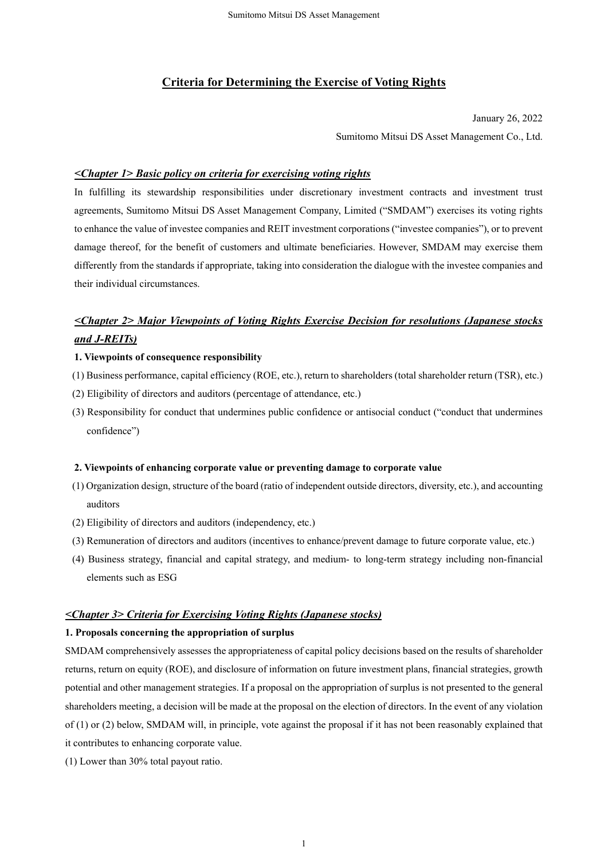## **Criteria for Determining the Exercise of Voting Rights**

January 26, 2022

Sumitomo Mitsui DS Asset Management Co., Ltd.

## *<Chapter 1> Basic policy on criteria for exercising voting rights*

In fulfilling its stewardship responsibilities under discretionary investment contracts and investment trust agreements, Sumitomo Mitsui DS Asset Management Company, Limited ("SMDAM") exercises its voting rights to enhance the value of investee companies and REIT investment corporations ("investee companies"), or to prevent damage thereof, for the benefit of customers and ultimate beneficiaries. However, SMDAM may exercise them differently from the standards if appropriate, taking into consideration the dialogue with the investee companies and their individual circumstances.

# *<Chapter 2> Major Viewpoints of Voting Rights Exercise Decision for resolutions (Japanese stocks and J-REITs)*

### **1. Viewpoints of consequence responsibility**

- (1) Business performance, capital efficiency (ROE, etc.), return to shareholders (total shareholder return (TSR), etc.)
- (2) Eligibility of directors and auditors (percentage of attendance, etc.)
- (3) Responsibility for conduct that undermines public confidence or antisocial conduct ("conduct that undermines confidence")

#### **2. Viewpoints of enhancing corporate value or preventing damage to corporate value**

- (1) Organization design, structure of the board (ratio of independent outside directors, diversity, etc.), and accounting auditors
- (2) Eligibility of directors and auditors (independency, etc.)
- (3) Remuneration of directors and auditors (incentives to enhance/prevent damage to future corporate value, etc.)
- (4) Business strategy, financial and capital strategy, and medium- to long-term strategy including non-financial elements such as ESG

## *<Chapter 3> Criteria for Exercising Voting Rights (Japanese stocks)*

### **1. Proposals concerning the appropriation of surplus**

SMDAM comprehensively assesses the appropriateness of capital policy decisions based on the results of shareholder returns, return on equity (ROE), and disclosure of information on future investment plans, financial strategies, growth potential and other management strategies. If a proposal on the appropriation of surplus is not presented to the general shareholders meeting, a decision will be made at the proposal on the election of directors. In the event of any violation of (1) or (2) below, SMDAM will, in principle, vote against the proposal if it has not been reasonably explained that it contributes to enhancing corporate value.

(1) Lower than 30% total payout ratio.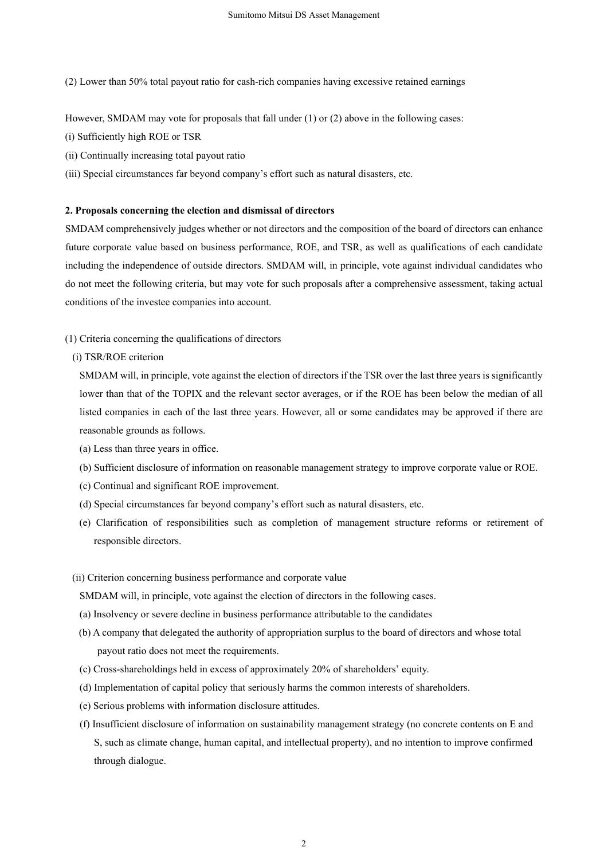(2) Lower than 50% total payout ratio for cash-rich companies having excessive retained earnings

However, SMDAM may vote for proposals that fall under (1) or (2) above in the following cases:

- (i) Sufficiently high ROE or TSR
- (ii) Continually increasing total payout ratio
- (iii) Special circumstances far beyond company's effort such as natural disasters, etc.

#### **2. Proposals concerning the election and dismissal of directors**

SMDAM comprehensively judges whether or not directors and the composition of the board of directors can enhance future corporate value based on business performance, ROE, and TSR, as well as qualifications of each candidate including the independence of outside directors. SMDAM will, in principle, vote against individual candidates who do not meet the following criteria, but may vote for such proposals after a comprehensive assessment, taking actual conditions of the investee companies into account.

(1) Criteria concerning the qualifications of directors

### (i) TSR/ROE criterion

SMDAM will, in principle, vote against the election of directors if the TSR over the last three years is significantly lower than that of the TOPIX and the relevant sector averages, or if the ROE has been below the median of all listed companies in each of the last three years. However, all or some candidates may be approved if there are reasonable grounds as follows.

- (a) Less than three years in office.
- (b) Sufficient disclosure of information on reasonable management strategy to improve corporate value or ROE.
- (c) Continual and significant ROE improvement.
- (d) Special circumstances far beyond company's effort such as natural disasters, etc.
- (e) Clarification of responsibilities such as completion of management structure reforms or retirement of responsible directors.

#### (ii) Criterion concerning business performance and corporate value

SMDAM will, in principle, vote against the election of directors in the following cases.

- (a) Insolvency or severe decline in business performance attributable to the candidates
- (b) A company that delegated the authority of appropriation surplus to the board of directors and whose total payout ratio does not meet the requirements.
- (c) Cross-shareholdings held in excess of approximately 20% of shareholders' equity.
- (d) Implementation of capital policy that seriously harms the common interests of shareholders.
- (e) Serious problems with information disclosure attitudes.
- (f) Insufficient disclosure of information on sustainability management strategy (no concrete contents on E and S, such as climate change, human capital, and intellectual property), and no intention to improve confirmed through dialogue.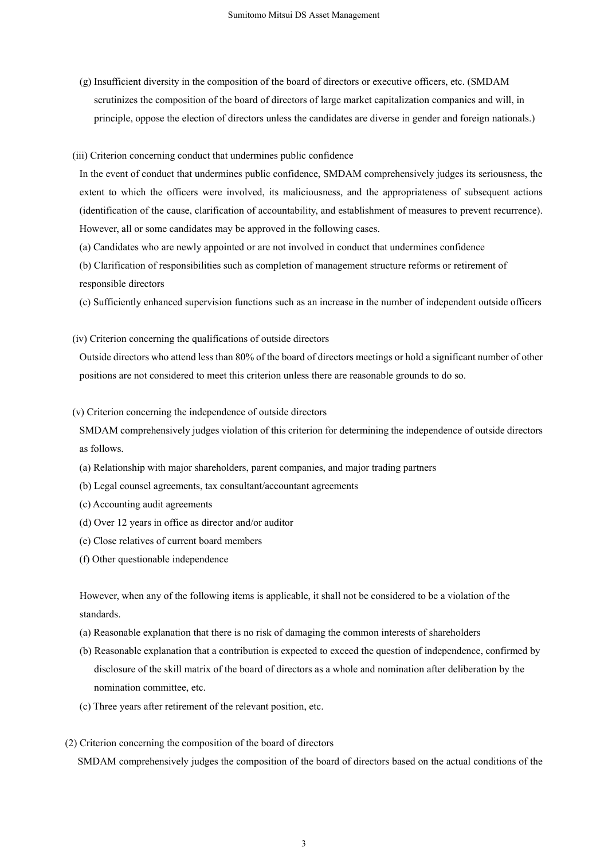(g) Insufficient diversity in the composition of the board of directors or executive officers, etc. (SMDAM scrutinizes the composition of the board of directors of large market capitalization companies and will, in principle, oppose the election of directors unless the candidates are diverse in gender and foreign nationals.)

#### (iii) Criterion concerning conduct that undermines public confidence

In the event of conduct that undermines public confidence, SMDAM comprehensively judges its seriousness, the extent to which the officers were involved, its maliciousness, and the appropriateness of subsequent actions (identification of the cause, clarification of accountability, and establishment of measures to prevent recurrence). However, all or some candidates may be approved in the following cases.

- (a) Candidates who are newly appointed or are not involved in conduct that undermines confidence
- (b) Clarification of responsibilities such as completion of management structure reforms or retirement of responsible directors
- (c) Sufficiently enhanced supervision functions such as an increase in the number of independent outside officers
- (iv) Criterion concerning the qualifications of outside directors

Outside directors who attend less than 80% of the board of directors meetings or hold a significant number of other positions are not considered to meet this criterion unless there are reasonable grounds to do so.

(v) Criterion concerning the independence of outside directors

SMDAM comprehensively judges violation of this criterion for determining the independence of outside directors as follows.

- (a) Relationship with major shareholders, parent companies, and major trading partners
- (b) Legal counsel agreements, tax consultant/accountant agreements
- (c) Accounting audit agreements
- (d) Over 12 years in office as director and/or auditor
- (e) Close relatives of current board members
- (f) Other questionable independence

However, when any of the following items is applicable, it shall not be considered to be a violation of the standards.

- (a) Reasonable explanation that there is no risk of damaging the common interests of shareholders
- (b) Reasonable explanation that a contribution is expected to exceed the question of independence, confirmed by disclosure of the skill matrix of the board of directors as a whole and nomination after deliberation by the nomination committee, etc.
- (c) Three years after retirement of the relevant position, etc.
- (2) Criterion concerning the composition of the board of directors

SMDAM comprehensively judges the composition of the board of directors based on the actual conditions of the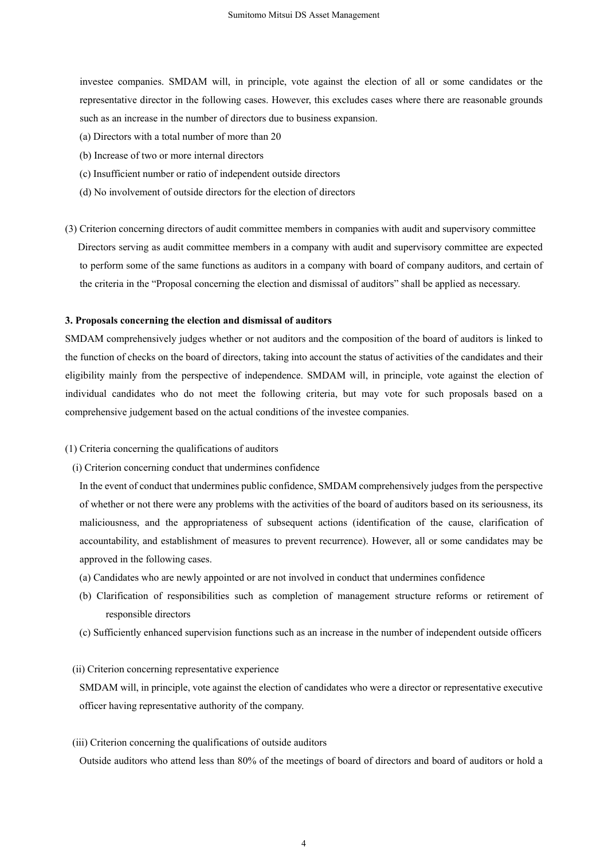investee companies. SMDAM will, in principle, vote against the election of all or some candidates or the representative director in the following cases. However, this excludes cases where there are reasonable grounds such as an increase in the number of directors due to business expansion.

- (a) Directors with a total number of more than 20
- (b) Increase of two or more internal directors
- (c) Insufficient number or ratio of independent outside directors
- (d) No involvement of outside directors for the election of directors
- (3) Criterion concerning directors of audit committee members in companies with audit and supervisory committee Directors serving as audit committee members in a company with audit and supervisory committee are expected to perform some of the same functions as auditors in a company with board of company auditors, and certain of the criteria in the "Proposal concerning the election and dismissal of auditors" shall be applied as necessary.

### **3. Proposals concerning the election and dismissal of auditors**

SMDAM comprehensively judges whether or not auditors and the composition of the board of auditors is linked to the function of checks on the board of directors, taking into account the status of activities of the candidates and their eligibility mainly from the perspective of independence. SMDAM will, in principle, vote against the election of individual candidates who do not meet the following criteria, but may vote for such proposals based on a comprehensive judgement based on the actual conditions of the investee companies.

- (1) Criteria concerning the qualifications of auditors
	- (i) Criterion concerning conduct that undermines confidence

In the event of conduct that undermines public confidence, SMDAM comprehensively judges from the perspective of whether or not there were any problems with the activities of the board of auditors based on its seriousness, its maliciousness, and the appropriateness of subsequent actions (identification of the cause, clarification of accountability, and establishment of measures to prevent recurrence). However, all or some candidates may be approved in the following cases.

- (a) Candidates who are newly appointed or are not involved in conduct that undermines confidence
- (b) Clarification of responsibilities such as completion of management structure reforms or retirement of responsible directors
- (c) Sufficiently enhanced supervision functions such as an increase in the number of independent outside officers

#### (ii) Criterion concerning representative experience

SMDAM will, in principle, vote against the election of candidates who were a director or representative executive officer having representative authority of the company.

(iii) Criterion concerning the qualifications of outside auditors

Outside auditors who attend less than 80% of the meetings of board of directors and board of auditors or hold a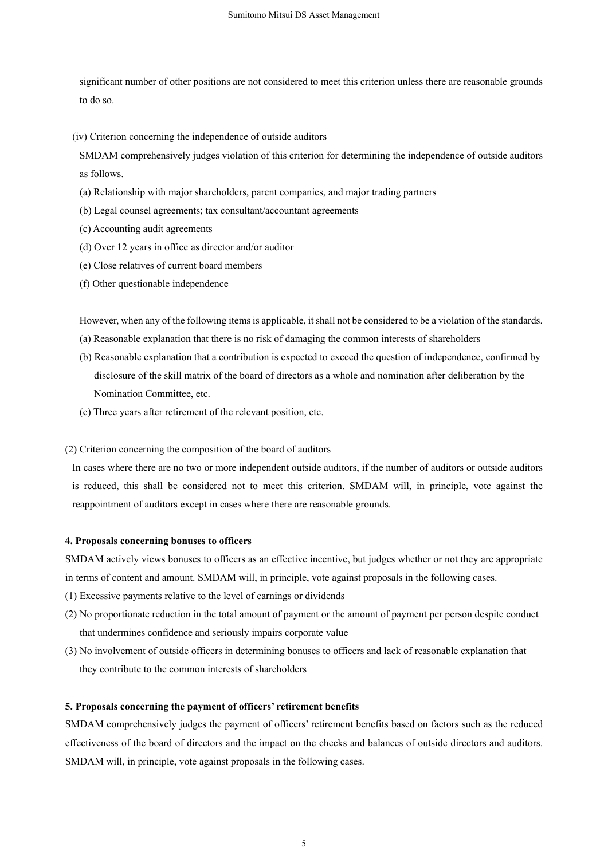significant number of other positions are not considered to meet this criterion unless there are reasonable grounds to do so.

(iv) Criterion concerning the independence of outside auditors

SMDAM comprehensively judges violation of this criterion for determining the independence of outside auditors as follows.

- (a) Relationship with major shareholders, parent companies, and major trading partners
- (b) Legal counsel agreements; tax consultant/accountant agreements
- (c) Accounting audit agreements
- (d) Over 12 years in office as director and/or auditor
- (e) Close relatives of current board members
- (f) Other questionable independence

However, when any of the following items is applicable, it shall not be considered to be a violation of the standards.

- (a) Reasonable explanation that there is no risk of damaging the common interests of shareholders
- (b) Reasonable explanation that a contribution is expected to exceed the question of independence, confirmed by disclosure of the skill matrix of the board of directors as a whole and nomination after deliberation by the Nomination Committee, etc.
- (c) Three years after retirement of the relevant position, etc.

(2) Criterion concerning the composition of the board of auditors

In cases where there are no two or more independent outside auditors, if the number of auditors or outside auditors is reduced, this shall be considered not to meet this criterion. SMDAM will, in principle, vote against the reappointment of auditors except in cases where there are reasonable grounds.

## **4. Proposals concerning bonuses to officers**

SMDAM actively views bonuses to officers as an effective incentive, but judges whether or not they are appropriate in terms of content and amount. SMDAM will, in principle, vote against proposals in the following cases.

- (1) Excessive payments relative to the level of earnings or dividends
- (2) No proportionate reduction in the total amount of payment or the amount of payment per person despite conduct that undermines confidence and seriously impairs corporate value
- (3) No involvement of outside officers in determining bonuses to officers and lack of reasonable explanation that they contribute to the common interests of shareholders

#### **5. Proposals concerning the payment of officers' retirement benefits**

SMDAM comprehensively judges the payment of officers' retirement benefits based on factors such as the reduced effectiveness of the board of directors and the impact on the checks and balances of outside directors and auditors. SMDAM will, in principle, vote against proposals in the following cases.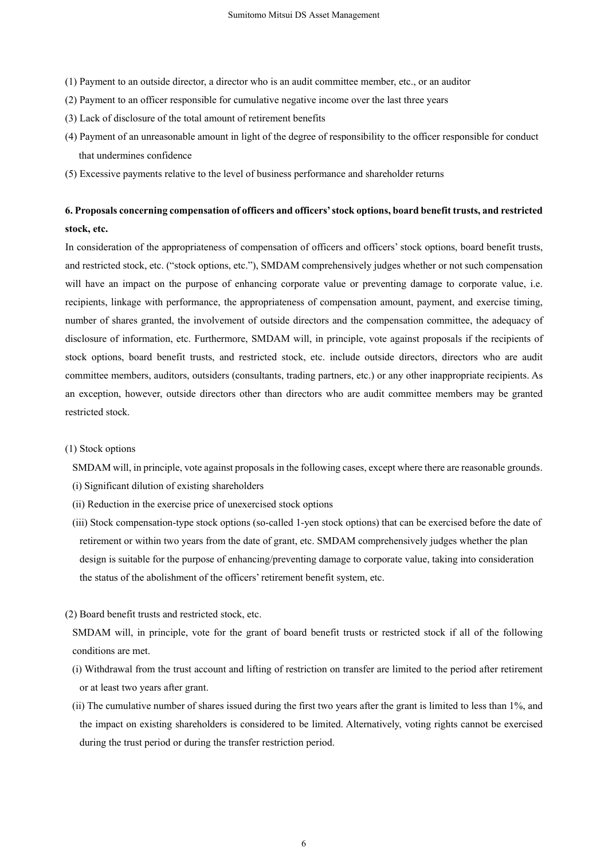- (1) Payment to an outside director, a director who is an audit committee member, etc., or an auditor
- (2) Payment to an officer responsible for cumulative negative income over the last three years
- (3) Lack of disclosure of the total amount of retirement benefits
- (4) Payment of an unreasonable amount in light of the degree of responsibility to the officer responsible for conduct that undermines confidence
- (5) Excessive payments relative to the level of business performance and shareholder returns

# **6. Proposals concerning compensation of officers and officers' stock options, board benefit trusts, and restricted stock, etc.**

In consideration of the appropriateness of compensation of officers and officers' stock options, board benefit trusts, and restricted stock, etc. ("stock options, etc."), SMDAM comprehensively judges whether or not such compensation will have an impact on the purpose of enhancing corporate value or preventing damage to corporate value, i.e. recipients, linkage with performance, the appropriateness of compensation amount, payment, and exercise timing, number of shares granted, the involvement of outside directors and the compensation committee, the adequacy of disclosure of information, etc. Furthermore, SMDAM will, in principle, vote against proposals if the recipients of stock options, board benefit trusts, and restricted stock, etc. include outside directors, directors who are audit committee members, auditors, outsiders (consultants, trading partners, etc.) or any other inappropriate recipients. As an exception, however, outside directors other than directors who are audit committee members may be granted restricted stock.

#### (1) Stock options

SMDAM will, in principle, vote against proposals in the following cases, except where there are reasonable grounds.

- (i) Significant dilution of existing shareholders
- (ii) Reduction in the exercise price of unexercised stock options
- (iii) Stock compensation-type stock options (so-called 1-yen stock options) that can be exercised before the date of retirement or within two years from the date of grant, etc. SMDAM comprehensively judges whether the plan design is suitable for the purpose of enhancing/preventing damage to corporate value, taking into consideration the status of the abolishment of the officers' retirement benefit system, etc.

#### (2) Board benefit trusts and restricted stock, etc.

- SMDAM will, in principle, vote for the grant of board benefit trusts or restricted stock if all of the following conditions are met.
- (i) Withdrawal from the trust account and lifting of restriction on transfer are limited to the period after retirement or at least two years after grant.
- (ii) The cumulative number of shares issued during the first two years after the grant is limited to less than 1%, and the impact on existing shareholders is considered to be limited. Alternatively, voting rights cannot be exercised during the trust period or during the transfer restriction period.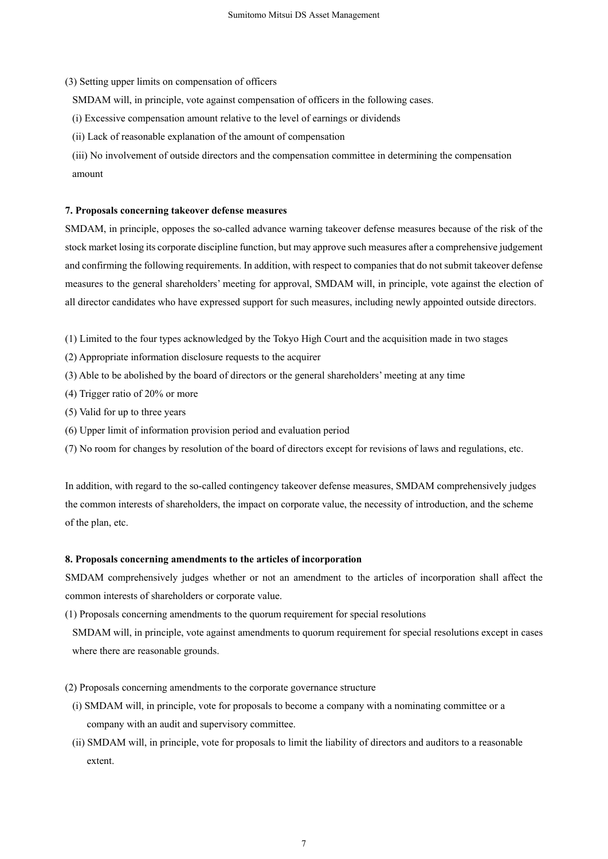(3) Setting upper limits on compensation of officers

SMDAM will, in principle, vote against compensation of officers in the following cases.

- (i) Excessive compensation amount relative to the level of earnings or dividends
- (ii) Lack of reasonable explanation of the amount of compensation
- (iii) No involvement of outside directors and the compensation committee in determining the compensation amount

### **7. Proposals concerning takeover defense measures**

SMDAM, in principle, opposes the so-called advance warning takeover defense measures because of the risk of the stock market losing its corporate discipline function, but may approve such measures after a comprehensive judgement and confirming the following requirements. In addition, with respect to companies that do not submit takeover defense measures to the general shareholders' meeting for approval, SMDAM will, in principle, vote against the election of all director candidates who have expressed support for such measures, including newly appointed outside directors.

- (1) Limited to the four types acknowledged by the Tokyo High Court and the acquisition made in two stages
- (2) Appropriate information disclosure requests to the acquirer
- (3) Able to be abolished by the board of directors or the general shareholders' meeting at any time
- (4) Trigger ratio of 20% or more
- (5) Valid for up to three years
- (6) Upper limit of information provision period and evaluation period
- (7) No room for changes by resolution of the board of directors except for revisions of laws and regulations, etc.

In addition, with regard to the so-called contingency takeover defense measures, SMDAM comprehensively judges the common interests of shareholders, the impact on corporate value, the necessity of introduction, and the scheme of the plan, etc.

## **8. Proposals concerning amendments to the articles of incorporation**

SMDAM comprehensively judges whether or not an amendment to the articles of incorporation shall affect the common interests of shareholders or corporate value.

(1) Proposals concerning amendments to the quorum requirement for special resolutions

SMDAM will, in principle, vote against amendments to quorum requirement for special resolutions except in cases where there are reasonable grounds.

(2) Proposals concerning amendments to the corporate governance structure

- (i) SMDAM will, in principle, vote for proposals to become a company with a nominating committee or a company with an audit and supervisory committee.
- (ii) SMDAM will, in principle, vote for proposals to limit the liability of directors and auditors to a reasonable extent.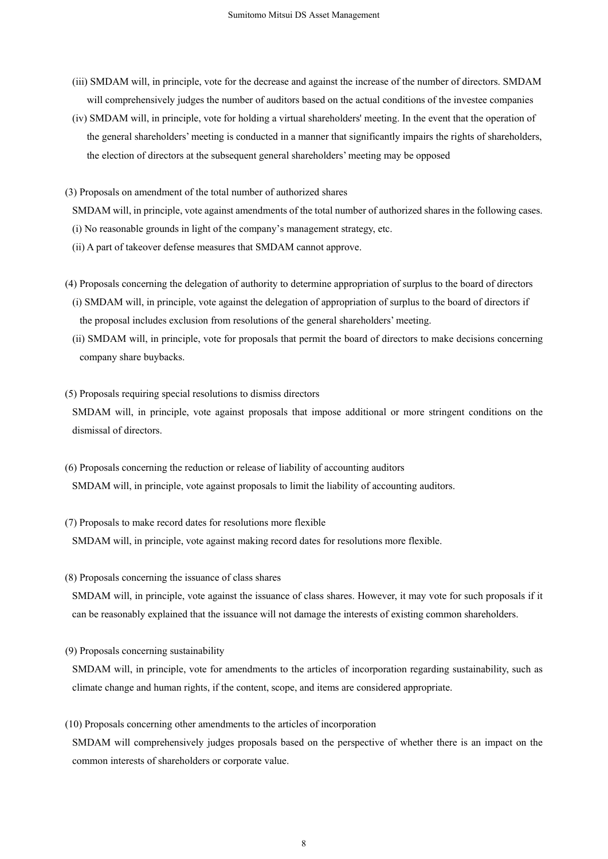- (iii) SMDAM will, in principle, vote for the decrease and against the increase of the number of directors. SMDAM will comprehensively judges the number of auditors based on the actual conditions of the investee companies
- (iv) SMDAM will, in principle, vote for holding a virtual shareholders' meeting. In the event that the operation of the general shareholders' meeting is conducted in a manner that significantly impairs the rights of shareholders, the election of directors at the subsequent general shareholders' meeting may be opposed
- (3) Proposals on amendment of the total number of authorized shares
	- SMDAM will, in principle, vote against amendments of the total number of authorized shares in the following cases.
	- (i) No reasonable grounds in light of the company's management strategy, etc.
	- (ii) A part of takeover defense measures that SMDAM cannot approve.
- (4) Proposals concerning the delegation of authority to determine appropriation of surplus to the board of directors
	- (i) SMDAM will, in principle, vote against the delegation of appropriation of surplus to the board of directors if the proposal includes exclusion from resolutions of the general shareholders' meeting.
	- (ii) SMDAM will, in principle, vote for proposals that permit the board of directors to make decisions concerning company share buybacks.
- (5) Proposals requiring special resolutions to dismiss directors SMDAM will, in principle, vote against proposals that impose additional or more stringent conditions on the dismissal of directors.
- (6) Proposals concerning the reduction or release of liability of accounting auditors SMDAM will, in principle, vote against proposals to limit the liability of accounting auditors.
- (7) Proposals to make record dates for resolutions more flexible SMDAM will, in principle, vote against making record dates for resolutions more flexible.
- (8) Proposals concerning the issuance of class shares

SMDAM will, in principle, vote against the issuance of class shares. However, it may vote for such proposals if it can be reasonably explained that the issuance will not damage the interests of existing common shareholders.

(9) Proposals concerning sustainability

SMDAM will, in principle, vote for amendments to the articles of incorporation regarding sustainability, such as climate change and human rights, if the content, scope, and items are considered appropriate.

(10) Proposals concerning other amendments to the articles of incorporation SMDAM will comprehensively judges proposals based on the perspective of whether there is an impact on the common interests of shareholders or corporate value.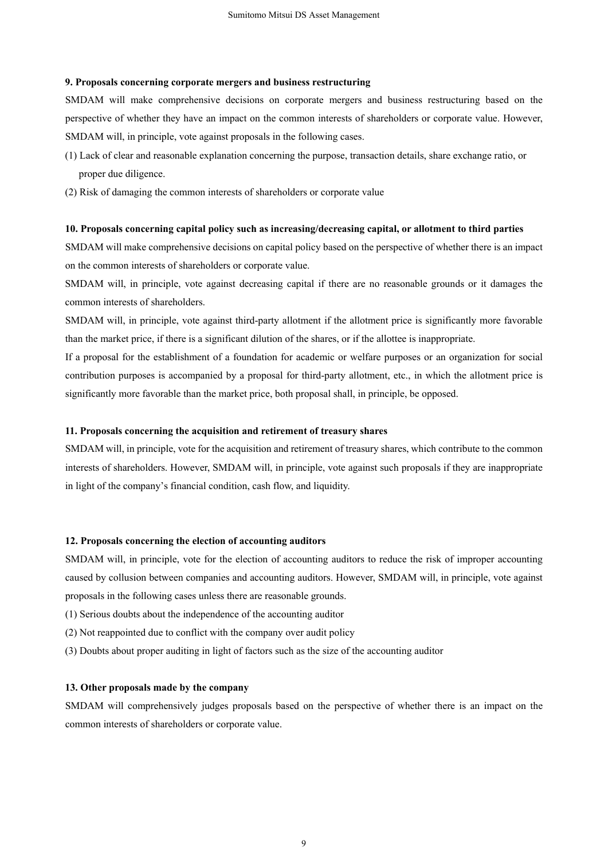#### **9. Proposals concerning corporate mergers and business restructuring**

SMDAM will make comprehensive decisions on corporate mergers and business restructuring based on the perspective of whether they have an impact on the common interests of shareholders or corporate value. However, SMDAM will, in principle, vote against proposals in the following cases.

- (1) Lack of clear and reasonable explanation concerning the purpose, transaction details, share exchange ratio, or proper due diligence.
- (2) Risk of damaging the common interests of shareholders or corporate value

## **10. Proposals concerning capital policy such as increasing/decreasing capital, or allotment to third parties**

SMDAM will make comprehensive decisions on capital policy based on the perspective of whether there is an impact on the common interests of shareholders or corporate value.

SMDAM will, in principle, vote against decreasing capital if there are no reasonable grounds or it damages the common interests of shareholders.

SMDAM will, in principle, vote against third-party allotment if the allotment price is significantly more favorable than the market price, if there is a significant dilution of the shares, or if the allottee is inappropriate.

If a proposal for the establishment of a foundation for academic or welfare purposes or an organization for social contribution purposes is accompanied by a proposal for third-party allotment, etc., in which the allotment price is significantly more favorable than the market price, both proposal shall, in principle, be opposed.

### **11. Proposals concerning the acquisition and retirement of treasury shares**

SMDAM will, in principle, vote for the acquisition and retirement of treasury shares, which contribute to the common interests of shareholders. However, SMDAM will, in principle, vote against such proposals if they are inappropriate in light of the company's financial condition, cash flow, and liquidity.

## **12. Proposals concerning the election of accounting auditors**

SMDAM will, in principle, vote for the election of accounting auditors to reduce the risk of improper accounting caused by collusion between companies and accounting auditors. However, SMDAM will, in principle, vote against proposals in the following cases unless there are reasonable grounds.

- (1) Serious doubts about the independence of the accounting auditor
- (2) Not reappointed due to conflict with the company over audit policy
- (3) Doubts about proper auditing in light of factors such as the size of the accounting auditor

#### **13. Other proposals made by the company**

SMDAM will comprehensively judges proposals based on the perspective of whether there is an impact on the common interests of shareholders or corporate value.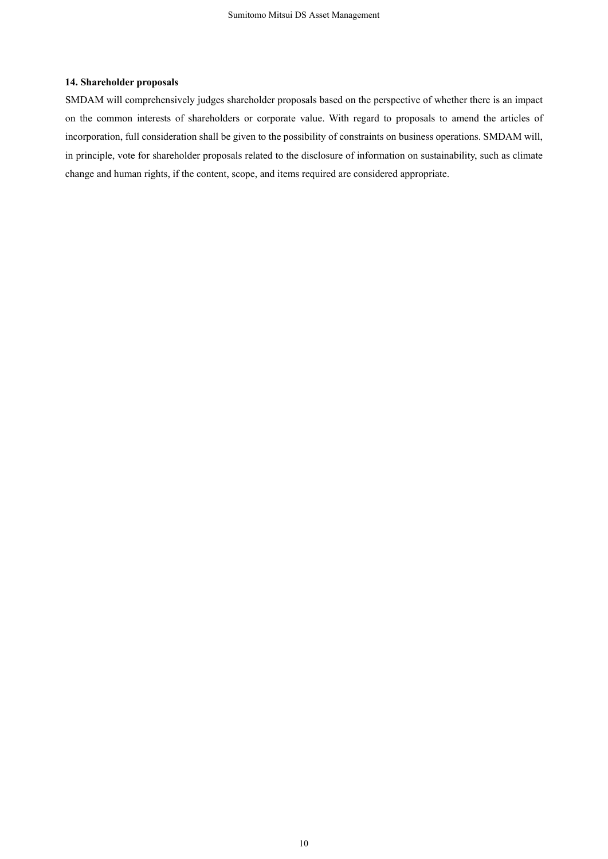## **14. Shareholder proposals**

SMDAM will comprehensively judges shareholder proposals based on the perspective of whether there is an impact on the common interests of shareholders or corporate value. With regard to proposals to amend the articles of incorporation, full consideration shall be given to the possibility of constraints on business operations. SMDAM will, in principle, vote for shareholder proposals related to the disclosure of information on sustainability, such as climate change and human rights, if the content, scope, and items required are considered appropriate.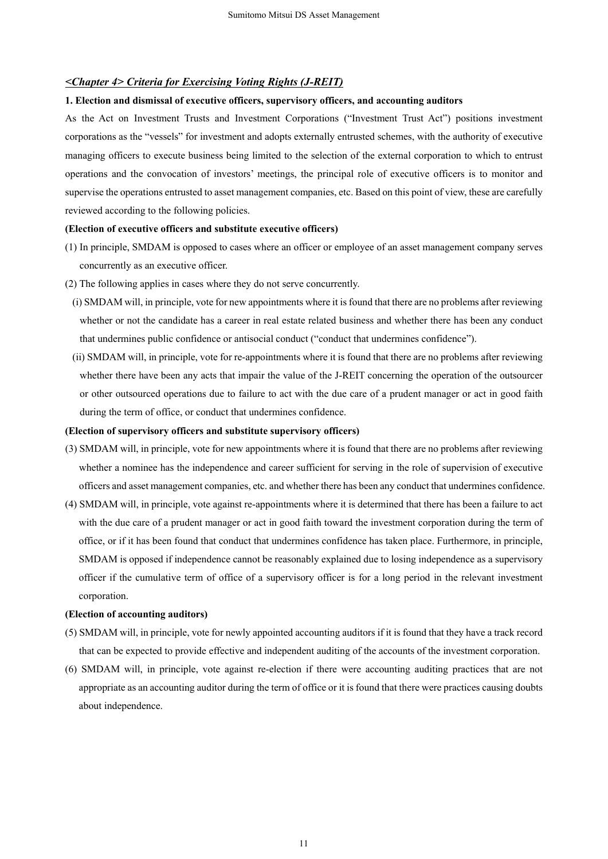## *<Chapter 4> Criteria for Exercising Voting Rights (J-REIT)*

## **1. Election and dismissal of executive officers, supervisory officers, and accounting auditors**

As the Act on Investment Trusts and Investment Corporations ("Investment Trust Act") positions investment corporations as the "vessels" for investment and adopts externally entrusted schemes, with the authority of executive managing officers to execute business being limited to the selection of the external corporation to which to entrust operations and the convocation of investors' meetings, the principal role of executive officers is to monitor and supervise the operations entrusted to asset management companies, etc. Based on this point of view, these are carefully reviewed according to the following policies.

## **(Election of executive officers and substitute executive officers)**

- (1) In principle, SMDAM is opposed to cases where an officer or employee of an asset management company serves concurrently as an executive officer.
- (2) The following applies in cases where they do not serve concurrently.
	- (i) SMDAM will, in principle, vote for new appointments where it is found that there are no problems after reviewing whether or not the candidate has a career in real estate related business and whether there has been any conduct that undermines public confidence or antisocial conduct ("conduct that undermines confidence").
- (ii) SMDAM will, in principle, vote for re-appointments where it is found that there are no problems after reviewing whether there have been any acts that impair the value of the J-REIT concerning the operation of the outsourcer or other outsourced operations due to failure to act with the due care of a prudent manager or act in good faith during the term of office, or conduct that undermines confidence.

#### **(Election of supervisory officers and substitute supervisory officers)**

- (3) SMDAM will, in principle, vote for new appointments where it is found that there are no problems after reviewing whether a nominee has the independence and career sufficient for serving in the role of supervision of executive officers and asset management companies, etc. and whether there has been any conduct that undermines confidence.
- (4) SMDAM will, in principle, vote against re-appointments where it is determined that there has been a failure to act with the due care of a prudent manager or act in good faith toward the investment corporation during the term of office, or if it has been found that conduct that undermines confidence has taken place. Furthermore, in principle, SMDAM is opposed if independence cannot be reasonably explained due to losing independence as a supervisory officer if the cumulative term of office of a supervisory officer is for a long period in the relevant investment corporation.

#### **(Election of accounting auditors)**

- (5) SMDAM will, in principle, vote for newly appointed accounting auditors if it is found that they have a track record that can be expected to provide effective and independent auditing of the accounts of the investment corporation.
- (6) SMDAM will, in principle, vote against re-election if there were accounting auditing practices that are not appropriate as an accounting auditor during the term of office or it is found that there were practices causing doubts about independence.